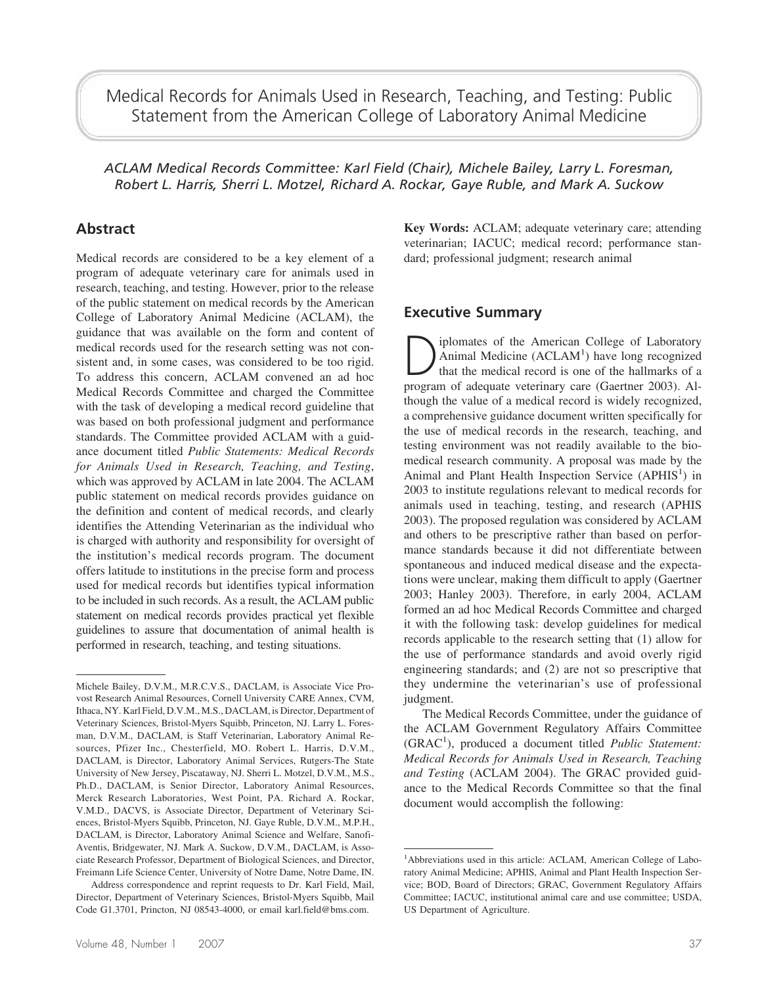Medical Records for Animals Used in Research, Teaching, and Testing: Public Statement from the American College of Laboratory Animal Medicine

*ACLAM Medical Records Committee: Karl Field (Chair), Michele Bailey, Larry L. Foresman, Robert L. Harris, Sherri L. Motzel, Richard A. Rockar, Gaye Ruble, and Mark A. Suckow*

# **Abstract**

Medical records are considered to be a key element of a program of adequate veterinary care for animals used in research, teaching, and testing. However, prior to the release of the public statement on medical records by the American College of Laboratory Animal Medicine (ACLAM), the guidance that was available on the form and content of medical records used for the research setting was not consistent and, in some cases, was considered to be too rigid. To address this concern, ACLAM convened an ad hoc Medical Records Committee and charged the Committee with the task of developing a medical record guideline that was based on both professional judgment and performance standards. The Committee provided ACLAM with a guidance document titled *Public Statements: Medical Records for Animals Used in Research, Teaching, and Testing*, which was approved by ACLAM in late 2004. The ACLAM public statement on medical records provides guidance on the definition and content of medical records, and clearly identifies the Attending Veterinarian as the individual who is charged with authority and responsibility for oversight of the institution's medical records program. The document offers latitude to institutions in the precise form and process used for medical records but identifies typical information to be included in such records. As a result, the ACLAM public statement on medical records provides practical yet flexible guidelines to assure that documentation of animal health is performed in research, teaching, and testing situations.

**Key Words:** ACLAM; adequate veterinary care; attending veterinarian; IACUC; medical record; performance standard; professional judgment; research animal

#### **Executive Summary**

Diplomates of the American College of Laboratory<br>Animal Medicine (ACLAM<sup>1</sup>) have long recognized<br>that the medical record is one of the hallmarks of a<br>program of adequate veterinary care (Gaertner 2003) AL Animal Medicine  $(ACLAM<sup>1</sup>)$  have long recognized that the medical record is one of the hallmarks of a program of adequate veterinary care (Gaertner 2003). Although the value of a medical record is widely recognized, a comprehensive guidance document written specifically for the use of medical records in the research, teaching, and testing environment was not readily available to the biomedical research community. A proposal was made by the Animal and Plant Health Inspection Service (APHIS<sup>1</sup>) in 2003 to institute regulations relevant to medical records for animals used in teaching, testing, and research (APHIS 2003). The proposed regulation was considered by ACLAM and others to be prescriptive rather than based on performance standards because it did not differentiate between spontaneous and induced medical disease and the expectations were unclear, making them difficult to apply (Gaertner 2003; Hanley 2003). Therefore, in early 2004, ACLAM formed an ad hoc Medical Records Committee and charged it with the following task: develop guidelines for medical records applicable to the research setting that (1) allow for the use of performance standards and avoid overly rigid engineering standards; and (2) are not so prescriptive that they undermine the veterinarian's use of professional judgment.

The Medical Records Committee, under the guidance of the ACLAM Government Regulatory Affairs Committee (GRAC<sup>1</sup> ), produced a document titled *Public Statement: Medical Records for Animals Used in Research, Teaching and Testing* (ACLAM 2004). The GRAC provided guidance to the Medical Records Committee so that the final document would accomplish the following:

Michele Bailey, D.V.M., M.R.C.V.S., DACLAM, is Associate Vice Provost Research Animal Resources, Cornell University CARE Annex, CVM, Ithaca, NY. Karl Field, D.V.M., M.S., DACLAM, is Director, Department of Veterinary Sciences, Bristol-Myers Squibb, Princeton, NJ. Larry L. Foresman, D.V.M., DACLAM, is Staff Veterinarian, Laboratory Animal Resources, Pfizer Inc., Chesterfield, MO. Robert L. Harris, D.V.M., DACLAM, is Director, Laboratory Animal Services, Rutgers-The State University of New Jersey, Piscataway, NJ. Sherri L. Motzel, D.V.M., M.S., Ph.D., DACLAM, is Senior Director, Laboratory Animal Resources, Merck Research Laboratories, West Point, PA. Richard A. Rockar, V.M.D., DACVS, is Associate Director, Department of Veterinary Sciences, Bristol-Myers Squibb, Princeton, NJ. Gaye Ruble, D.V.M., M.P.H., DACLAM, is Director, Laboratory Animal Science and Welfare, Sanofi-Aventis, Bridgewater, NJ. Mark A. Suckow, D.V.M., DACLAM, is Associate Research Professor, Department of Biological Sciences, and Director, Freimann Life Science Center, University of Notre Dame, Notre Dame, IN.

Address correspondence and reprint requests to Dr. Karl Field, Mail, Director, Department of Veterinary Sciences, Bristol-Myers Squibb, Mail Code G1.3701, Princton, NJ 08543-4000, or email karl.field@bms.com.

<sup>&</sup>lt;sup>1</sup>Abbreviations used in this article: ACLAM, American College of Laboratory Animal Medicine; APHIS, Animal and Plant Health Inspection Service; BOD, Board of Directors; GRAC, Government Regulatory Affairs Committee; IACUC, institutional animal care and use committee; USDA, US Department of Agriculture.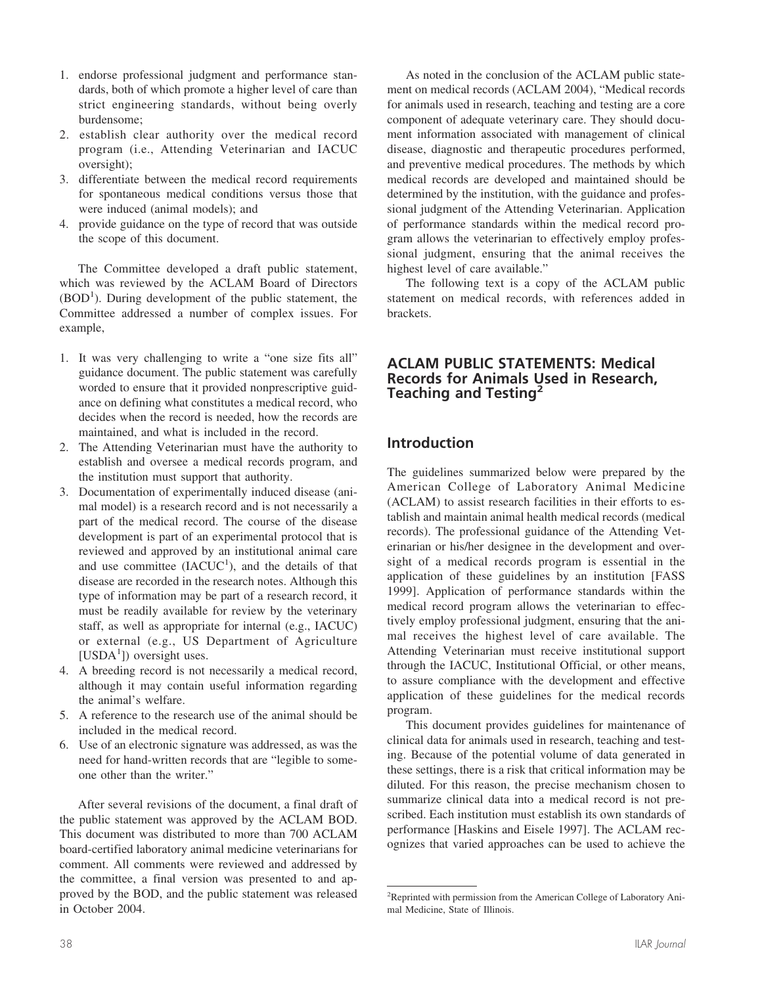- 1. endorse professional judgment and performance standards, both of which promote a higher level of care than strict engineering standards, without being overly burdensome;
- 2. establish clear authority over the medical record program (i.e., Attending Veterinarian and IACUC oversight);
- 3. differentiate between the medical record requirements for spontaneous medical conditions versus those that were induced (animal models); and
- 4. provide guidance on the type of record that was outside the scope of this document.

The Committee developed a draft public statement, which was reviewed by the ACLAM Board of Directors (BOD<sup>1</sup>). During development of the public statement, the Committee addressed a number of complex issues. For example,

- 1. It was very challenging to write a "one size fits all" guidance document. The public statement was carefully worded to ensure that it provided nonprescriptive guidance on defining what constitutes a medical record, who decides when the record is needed, how the records are maintained, and what is included in the record.
- 2. The Attending Veterinarian must have the authority to establish and oversee a medical records program, and the institution must support that authority.
- 3. Documentation of experimentally induced disease (animal model) is a research record and is not necessarily a part of the medical record. The course of the disease development is part of an experimental protocol that is reviewed and approved by an institutional animal care and use committee  $(IACUC<sup>1</sup>)$ , and the details of that disease are recorded in the research notes. Although this type of information may be part of a research record, it must be readily available for review by the veterinary staff, as well as appropriate for internal (e.g., IACUC) or external (e.g., US Department of Agriculture [USDA<sup>1</sup>]) oversight uses.
- 4. A breeding record is not necessarily a medical record, although it may contain useful information regarding the animal's welfare.
- 5. A reference to the research use of the animal should be included in the medical record.
- 6. Use of an electronic signature was addressed, as was the need for hand-written records that are "legible to someone other than the writer."

After several revisions of the document, a final draft of the public statement was approved by the ACLAM BOD. This document was distributed to more than 700 ACLAM board-certified laboratory animal medicine veterinarians for comment. All comments were reviewed and addressed by the committee, a final version was presented to and approved by the BOD, and the public statement was released in October 2004.

As noted in the conclusion of the ACLAM public statement on medical records (ACLAM 2004), "Medical records for animals used in research, teaching and testing are a core component of adequate veterinary care. They should document information associated with management of clinical disease, diagnostic and therapeutic procedures performed, and preventive medical procedures. The methods by which medical records are developed and maintained should be determined by the institution, with the guidance and professional judgment of the Attending Veterinarian. Application of performance standards within the medical record program allows the veterinarian to effectively employ professional judgment, ensuring that the animal receives the highest level of care available."

The following text is a copy of the ACLAM public statement on medical records, with references added in brackets.

# **ACLAM PUBLIC STATEMENTS: Medical Records for Animals Used in Research, Teaching and Testing2**

# **Introduction**

The guidelines summarized below were prepared by the American College of Laboratory Animal Medicine (ACLAM) to assist research facilities in their efforts to establish and maintain animal health medical records (medical records). The professional guidance of the Attending Veterinarian or his/her designee in the development and oversight of a medical records program is essential in the application of these guidelines by an institution [FASS 1999]. Application of performance standards within the medical record program allows the veterinarian to effectively employ professional judgment, ensuring that the animal receives the highest level of care available. The Attending Veterinarian must receive institutional support through the IACUC, Institutional Official, or other means, to assure compliance with the development and effective application of these guidelines for the medical records program.

This document provides guidelines for maintenance of clinical data for animals used in research, teaching and testing. Because of the potential volume of data generated in these settings, there is a risk that critical information may be diluted. For this reason, the precise mechanism chosen to summarize clinical data into a medical record is not prescribed. Each institution must establish its own standards of performance [Haskins and Eisele 1997]. The ACLAM recognizes that varied approaches can be used to achieve the

<sup>&</sup>lt;sup>2</sup>Reprinted with permission from the American College of Laboratory Animal Medicine, State of Illinois.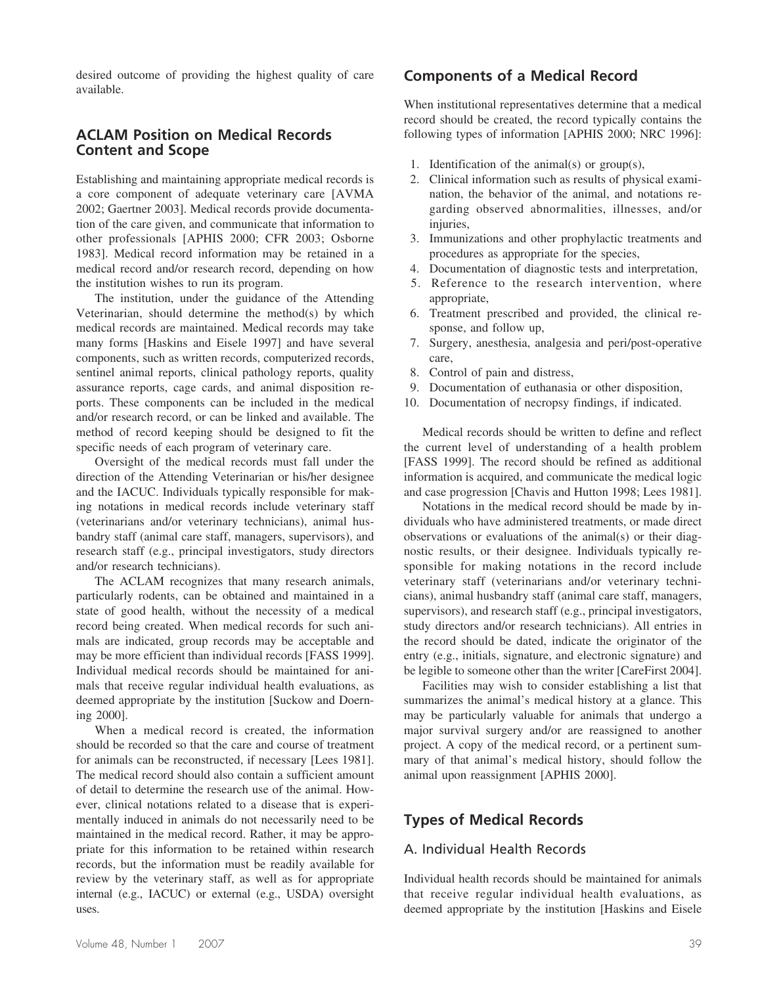desired outcome of providing the highest quality of care available.

#### **ACLAM Position on Medical Records Content and Scope**

Establishing and maintaining appropriate medical records is a core component of adequate veterinary care [AVMA 2002; Gaertner 2003]. Medical records provide documentation of the care given, and communicate that information to other professionals [APHIS 2000; CFR 2003; Osborne 1983]. Medical record information may be retained in a medical record and/or research record, depending on how the institution wishes to run its program.

The institution, under the guidance of the Attending Veterinarian, should determine the method(s) by which medical records are maintained. Medical records may take many forms [Haskins and Eisele 1997] and have several components, such as written records, computerized records, sentinel animal reports, clinical pathology reports, quality assurance reports, cage cards, and animal disposition reports. These components can be included in the medical and/or research record, or can be linked and available. The method of record keeping should be designed to fit the specific needs of each program of veterinary care.

Oversight of the medical records must fall under the direction of the Attending Veterinarian or his/her designee and the IACUC. Individuals typically responsible for making notations in medical records include veterinary staff (veterinarians and/or veterinary technicians), animal husbandry staff (animal care staff, managers, supervisors), and research staff (e.g., principal investigators, study directors and/or research technicians).

The ACLAM recognizes that many research animals, particularly rodents, can be obtained and maintained in a state of good health, without the necessity of a medical record being created. When medical records for such animals are indicated, group records may be acceptable and may be more efficient than individual records [FASS 1999]. Individual medical records should be maintained for animals that receive regular individual health evaluations, as deemed appropriate by the institution [Suckow and Doerning 2000].

When a medical record is created, the information should be recorded so that the care and course of treatment for animals can be reconstructed, if necessary [Lees 1981]. The medical record should also contain a sufficient amount of detail to determine the research use of the animal. However, clinical notations related to a disease that is experimentally induced in animals do not necessarily need to be maintained in the medical record. Rather, it may be appropriate for this information to be retained within research records, but the information must be readily available for review by the veterinary staff, as well as for appropriate internal (e.g., IACUC) or external (e.g., USDA) oversight uses.

### **Components of a Medical Record**

When institutional representatives determine that a medical record should be created, the record typically contains the following types of information [APHIS 2000; NRC 1996]:

- 1. Identification of the animal(s) or group(s),
- 2. Clinical information such as results of physical examination, the behavior of the animal, and notations regarding observed abnormalities, illnesses, and/or injuries,
- 3. Immunizations and other prophylactic treatments and procedures as appropriate for the species,
- 4. Documentation of diagnostic tests and interpretation,
- 5. Reference to the research intervention, where appropriate,
- 6. Treatment prescribed and provided, the clinical response, and follow up,
- 7. Surgery, anesthesia, analgesia and peri/post-operative care,
- 8. Control of pain and distress,
- 9. Documentation of euthanasia or other disposition,
- 10. Documentation of necropsy findings, if indicated.

Medical records should be written to define and reflect the current level of understanding of a health problem [FASS 1999]. The record should be refined as additional information is acquired, and communicate the medical logic and case progression [Chavis and Hutton 1998; Lees 1981].

Notations in the medical record should be made by individuals who have administered treatments, or made direct observations or evaluations of the animal(s) or their diagnostic results, or their designee. Individuals typically responsible for making notations in the record include veterinary staff (veterinarians and/or veterinary technicians), animal husbandry staff (animal care staff, managers, supervisors), and research staff (e.g., principal investigators, study directors and/or research technicians). All entries in the record should be dated, indicate the originator of the entry (e.g., initials, signature, and electronic signature) and be legible to someone other than the writer [CareFirst 2004].

Facilities may wish to consider establishing a list that summarizes the animal's medical history at a glance. This may be particularly valuable for animals that undergo a major survival surgery and/or are reassigned to another project. A copy of the medical record, or a pertinent summary of that animal's medical history, should follow the animal upon reassignment [APHIS 2000].

# **Types of Medical Records**

#### A. Individual Health Records

Individual health records should be maintained for animals that receive regular individual health evaluations, as deemed appropriate by the institution [Haskins and Eisele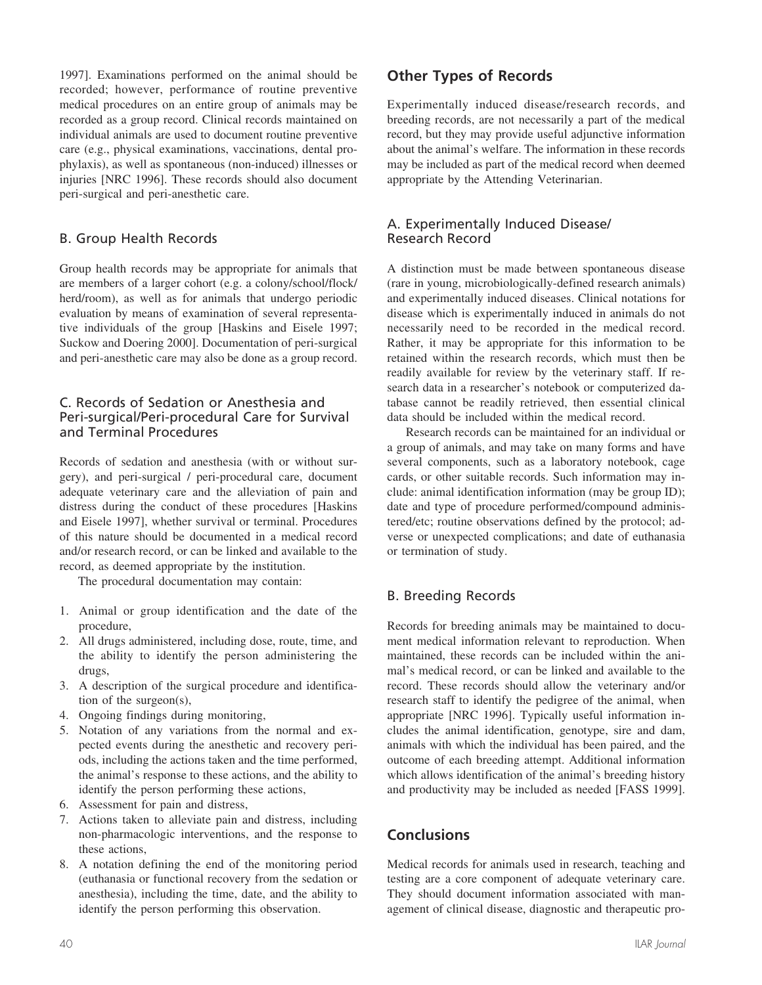1997]. Examinations performed on the animal should be recorded; however, performance of routine preventive medical procedures on an entire group of animals may be recorded as a group record. Clinical records maintained on individual animals are used to document routine preventive care (e.g., physical examinations, vaccinations, dental prophylaxis), as well as spontaneous (non-induced) illnesses or injuries [NRC 1996]. These records should also document peri-surgical and peri-anesthetic care.

# B. Group Health Records

Group health records may be appropriate for animals that are members of a larger cohort (e.g. a colony/school/flock/ herd/room), as well as for animals that undergo periodic evaluation by means of examination of several representative individuals of the group [Haskins and Eisele 1997; Suckow and Doering 2000]. Documentation of peri-surgical and peri-anesthetic care may also be done as a group record.

#### C. Records of Sedation or Anesthesia and Peri-surgical/Peri-procedural Care for Survival and Terminal Procedures

Records of sedation and anesthesia (with or without surgery), and peri-surgical / peri-procedural care, document adequate veterinary care and the alleviation of pain and distress during the conduct of these procedures [Haskins and Eisele 1997], whether survival or terminal. Procedures of this nature should be documented in a medical record and/or research record, or can be linked and available to the record, as deemed appropriate by the institution.

The procedural documentation may contain:

- 1. Animal or group identification and the date of the procedure,
- 2. All drugs administered, including dose, route, time, and the ability to identify the person administering the drugs,
- 3. A description of the surgical procedure and identification of the surgeon(s),
- 4. Ongoing findings during monitoring,
- 5. Notation of any variations from the normal and expected events during the anesthetic and recovery periods, including the actions taken and the time performed, the animal's response to these actions, and the ability to identify the person performing these actions,
- 6. Assessment for pain and distress,
- 7. Actions taken to alleviate pain and distress, including non-pharmacologic interventions, and the response to these actions,
- 8. A notation defining the end of the monitoring period (euthanasia or functional recovery from the sedation or anesthesia), including the time, date, and the ability to identify the person performing this observation.

# **Other Types of Records**

Experimentally induced disease/research records, and breeding records, are not necessarily a part of the medical record, but they may provide useful adjunctive information about the animal's welfare. The information in these records may be included as part of the medical record when deemed appropriate by the Attending Veterinarian.

#### A. Experimentally Induced Disease/ Research Record

A distinction must be made between spontaneous disease (rare in young, microbiologically-defined research animals) and experimentally induced diseases. Clinical notations for disease which is experimentally induced in animals do not necessarily need to be recorded in the medical record. Rather, it may be appropriate for this information to be retained within the research records, which must then be readily available for review by the veterinary staff. If research data in a researcher's notebook or computerized database cannot be readily retrieved, then essential clinical data should be included within the medical record.

Research records can be maintained for an individual or a group of animals, and may take on many forms and have several components, such as a laboratory notebook, cage cards, or other suitable records. Such information may include: animal identification information (may be group ID); date and type of procedure performed/compound administered/etc; routine observations defined by the protocol; adverse or unexpected complications; and date of euthanasia or termination of study.

# B. Breeding Records

Records for breeding animals may be maintained to document medical information relevant to reproduction. When maintained, these records can be included within the animal's medical record, or can be linked and available to the record. These records should allow the veterinary and/or research staff to identify the pedigree of the animal, when appropriate [NRC 1996]. Typically useful information includes the animal identification, genotype, sire and dam, animals with which the individual has been paired, and the outcome of each breeding attempt. Additional information which allows identification of the animal's breeding history and productivity may be included as needed [FASS 1999].

# **Conclusions**

Medical records for animals used in research, teaching and testing are a core component of adequate veterinary care. They should document information associated with management of clinical disease, diagnostic and therapeutic pro